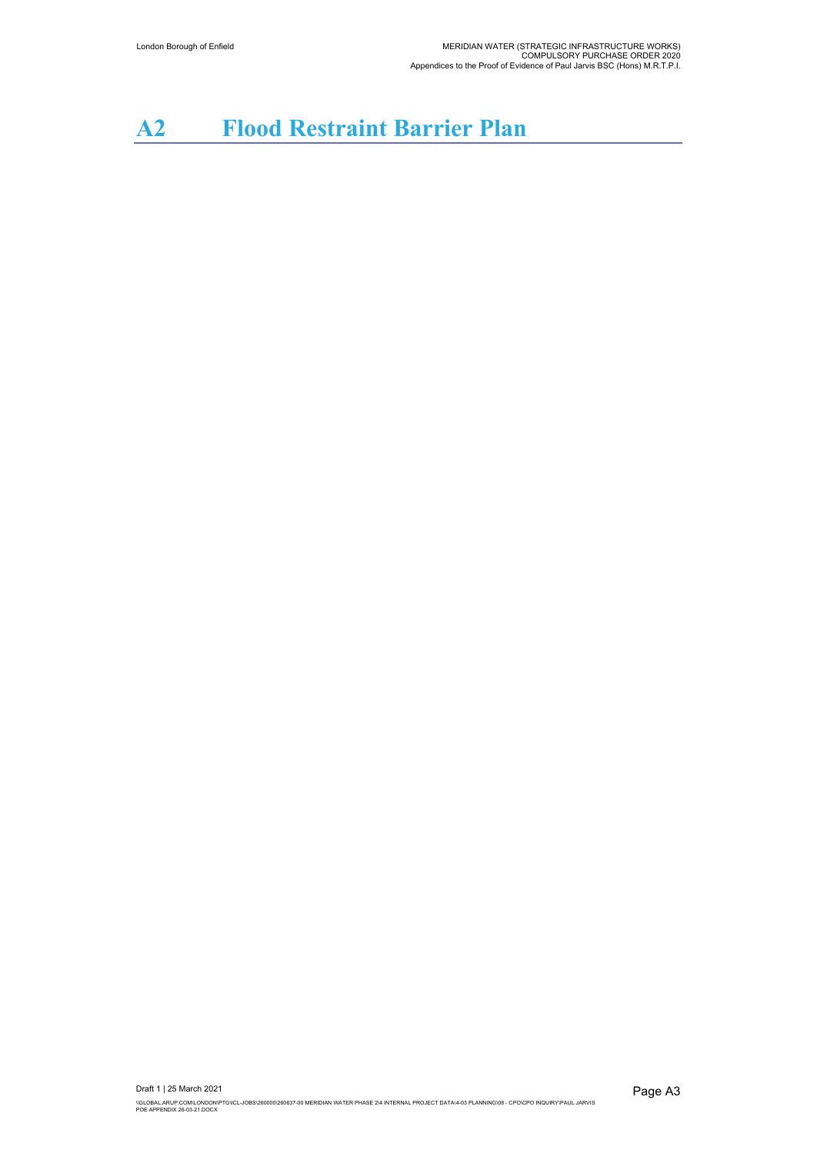## **A2 Flood Restraint Barrier Plan**